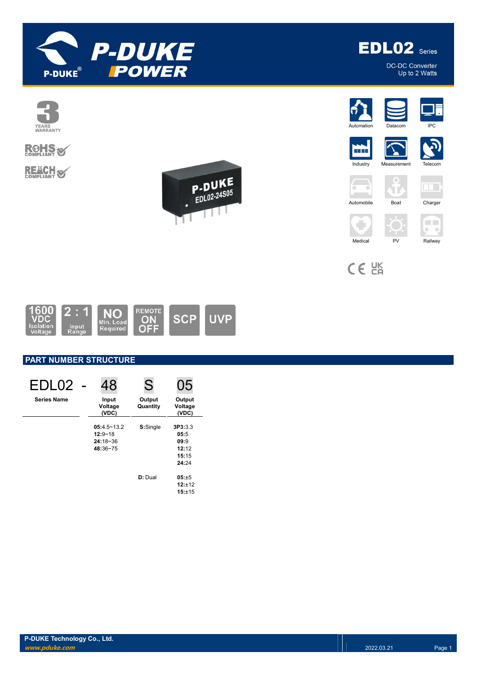

**EDL02** Series

DC-DC Converter Up to 2 Watts



CE EK



# PART NUMBER STRUCTURE

| EDL <sub>02</sub>  | 48                                                         | S                  | 05                                                 |
|--------------------|------------------------------------------------------------|--------------------|----------------------------------------------------|
| <b>Series Name</b> | Input<br>Voltage<br>(VDC)                                  | Output<br>Quantity | Output<br>Voltage<br>(VDC)                         |
|                    | $05:4.5 - 13.2$<br>$12:9 - 18$<br>$24:18 - 36$<br>48:36~75 | S:Single           | 3P3:3.3<br>05:5<br>09:9<br>12:12<br>15:15<br>24:24 |
|                    |                                                            | D: Dual            | 05:±5<br>12:±12<br>15:±15                          |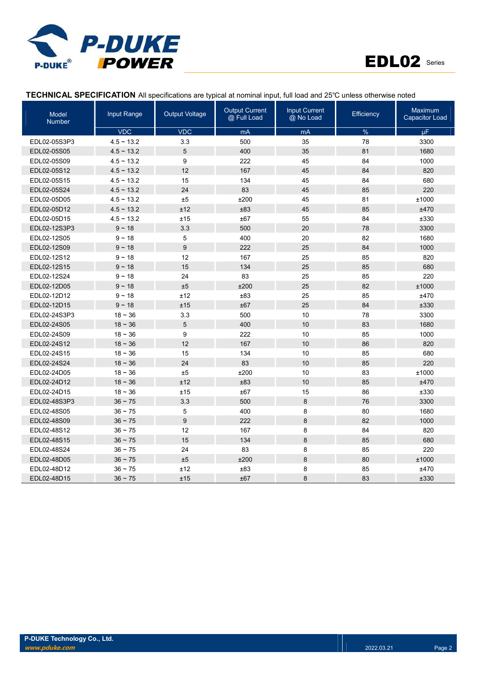



# TECHNICAL SPECIFICATION All specifications are typical at nominal input, full load and 25℃ unless otherwise noted

| <b>Model</b><br><b>Number</b> | Input Range     | <b>Output Voltage</b> | <b>Output Current</b><br>@ Full Load | <b>Input Current</b><br>@ No Load | <b>Efficiency</b>        | <b>Maximum</b><br><b>Capacitor Load</b> |
|-------------------------------|-----------------|-----------------------|--------------------------------------|-----------------------------------|--------------------------|-----------------------------------------|
|                               | <b>VDC</b>      | <b>VDC</b>            | mA                                   | mA                                | $\overline{\frac{9}{6}}$ | μF                                      |
| EDL02-05S3P3                  | $4.5 \sim 13.2$ | 3.3                   | 500                                  | 35                                | 78                       | 3300                                    |
| EDL02-05S05                   | $4.5 \sim 13.2$ | 5                     | 400                                  | 35                                | 81                       | 1680                                    |
| EDL02-05S09                   | $4.5 \sim 13.2$ | 9                     | 222                                  | 45                                | 84                       | 1000                                    |
| EDL02-05S12                   | $4.5 \sim 13.2$ | 12                    | 167                                  | 45                                | 84                       | 820                                     |
| EDL02-05S15                   | $4.5 \sim 13.2$ | 15                    | 134                                  | 45                                | 84                       | 680                                     |
| EDL02-05S24                   | $4.5 \sim 13.2$ | 24                    | 83                                   | 45                                | 85                       | 220                                     |
| EDL02-05D05                   | $4.5 \sim 13.2$ | ±5                    | ±200                                 | 45                                | 81                       | ±1000                                   |
| EDL02-05D12                   | $4.5 \sim 13.2$ | ±12                   | ±83                                  | 45                                | 85                       | ±470                                    |
| EDL02-05D15                   | $4.5 \sim 13.2$ | ±15                   | ±67                                  | 55                                | 84                       | ±330                                    |
| EDL02-12S3P3                  | $9 - 18$        | 3.3                   | 500                                  | 20                                | 78                       | 3300                                    |
| EDL02-12S05                   | $9 - 18$        | 5                     | 400                                  | 20                                | 82                       | 1680                                    |
| EDL02-12S09                   | $9 - 18$        | 9                     | 222                                  | 25                                | 84                       | 1000                                    |
| EDL02-12S12                   | $9 - 18$        | 12                    | 167                                  | 25                                | 85                       | 820                                     |
| EDL02-12S15                   | $9 - 18$        | 15                    | 134                                  | 25                                | 85                       | 680                                     |
| EDL02-12S24                   | $9 - 18$        | 24                    | 83                                   | 25                                | 85                       | 220                                     |
| EDL02-12D05                   | $9 - 18$        | ±5                    | ±200                                 | 25                                | 82                       | ±1000                                   |
| EDL02-12D12                   | $9 - 18$        | ±12                   | ±83                                  | 25                                | 85                       | ±470                                    |
| EDL02-12D15                   | $9 - 18$        | ±15                   | ±67                                  | 25                                | 84                       | ±330                                    |
| EDL02-24S3P3                  | $18 - 36$       | 3.3                   | 500                                  | 10                                | 78                       | 3300                                    |
| EDL02-24S05                   | $18 - 36$       | 5                     | 400                                  | 10                                | 83                       | 1680                                    |
| EDL02-24S09                   | $18 - 36$       | 9                     | 222                                  | 10                                | 85                       | 1000                                    |
| EDL02-24S12                   | $18 - 36$       | 12                    | 167                                  | 10                                | 86                       | 820                                     |
| EDL02-24S15                   | $18 - 36$       | 15                    | 134                                  | 10                                | 85                       | 680                                     |
| EDL02-24S24                   | $18 - 36$       | 24                    | 83                                   | 10                                | 85                       | 220                                     |
| EDL02-24D05                   | $18 - 36$       | $\pm 5$               | ±200                                 | 10                                | 83                       | ±1000                                   |
| EDL02-24D12                   | $18 - 36$       | ±12                   | ±83                                  | 10                                | 85                       | ±470                                    |
| EDL02-24D15                   | $18 - 36$       | ±15                   | ±67                                  | 15                                | 86                       | ±330                                    |
| EDL02-48S3P3                  | $36 - 75$       | 3.3                   | 500                                  | $\bf 8$                           | 76                       | 3300                                    |
| EDL02-48S05                   | $36 - 75$       | 5                     | 400                                  | 8                                 | 80                       | 1680                                    |
| EDL02-48S09                   | $36 - 75$       | 9                     | 222                                  | $\bf 8$                           | 82                       | 1000                                    |
| EDL02-48S12                   | $36 - 75$       | 12                    | 167                                  | 8                                 | 84                       | 820                                     |
| EDL02-48S15                   | $36 - 75$       | 15                    | 134                                  | 8                                 | 85                       | 680                                     |
| EDL02-48S24                   | $36 - 75$       | 24                    | 83                                   | 8                                 | 85                       | 220                                     |
| EDL02-48D05                   | $36 - 75$       | ±5                    | ±200                                 | 8                                 | 80                       | ±1000                                   |
| EDL02-48D12                   | $36 - 75$       | ±12                   | ±83                                  | 8                                 | 85                       | ±470                                    |
| EDL02-48D15                   | $36 - 75$       | ±15                   | ±67                                  | 8                                 | 83                       | ±330                                    |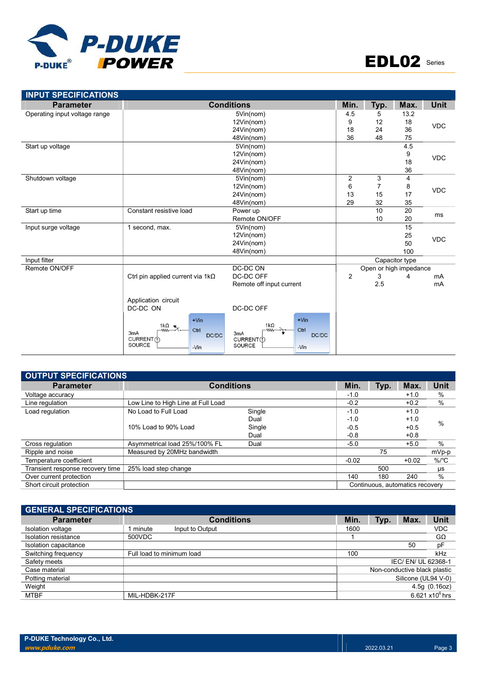

| <b>INPUT SPECIFICATIONS</b>   |                                                                                                           |                                                                                                     |                |      |                        |             |
|-------------------------------|-----------------------------------------------------------------------------------------------------------|-----------------------------------------------------------------------------------------------------|----------------|------|------------------------|-------------|
| <b>Parameter</b>              |                                                                                                           | <b>Conditions</b>                                                                                   | Min.           | Typ. | Max.                   | <b>Unit</b> |
| Operating input voltage range | 5Vin(nom)                                                                                                 |                                                                                                     | 4.5            | 5    | 13.2                   |             |
|                               |                                                                                                           | 12Vin(nom)                                                                                          | 9              | 12   | 18                     | <b>VDC</b>  |
|                               |                                                                                                           | 24Vin(nom)                                                                                          | 18             | 24   | 36                     |             |
|                               |                                                                                                           | 48Vin(nom)                                                                                          | 36             | 48   | 75                     |             |
| Start up voltage              |                                                                                                           | 5Vin(nom)                                                                                           |                |      | 4.5                    |             |
|                               | 12Vin(nom)                                                                                                |                                                                                                     |                |      | 9                      | <b>VDC</b>  |
|                               |                                                                                                           | 24Vin(nom)                                                                                          |                |      | 18                     |             |
|                               |                                                                                                           | 48Vin(nom)                                                                                          |                |      | 36                     |             |
| Shutdown voltage              |                                                                                                           | 5Vin(nom)                                                                                           | $\overline{2}$ | 3    | 4                      |             |
|                               |                                                                                                           | 12Vin(nom)                                                                                          | 6              |      | 8                      | <b>VDC</b>  |
|                               |                                                                                                           | 24Vin(nom)                                                                                          | 13             | 15   | 17                     |             |
|                               |                                                                                                           | 48Vin(nom)                                                                                          | 29             | 32   | 35                     |             |
| Start up time                 | Constant resistive load                                                                                   | Power up                                                                                            |                | 10   | $\overline{20}$        |             |
|                               | Remote ON/OFF                                                                                             |                                                                                                     |                | 10   | 20                     | ms          |
| Input surge voltage           | 1 second, max.                                                                                            | 5Vin(nom)                                                                                           |                |      | 15                     |             |
|                               |                                                                                                           | 12Vin(nom)                                                                                          |                |      | 25                     | <b>VDC</b>  |
|                               |                                                                                                           | 24Vin(nom)                                                                                          |                |      | 50                     |             |
|                               |                                                                                                           | 48Vin(nom)                                                                                          |                |      | 100                    |             |
| Input filter                  |                                                                                                           |                                                                                                     |                |      | Capacitor type         |             |
| Remote ON/OFF                 |                                                                                                           | DC-DC ON                                                                                            |                |      | Open or high impedance |             |
|                               | Ctrl pin applied current via $1k\Omega$                                                                   | DC-DC OFF                                                                                           | $\overline{c}$ | 3    | 4                      | mA          |
|                               |                                                                                                           | Remote off input current                                                                            |                | 2.5  |                        | mA          |
|                               |                                                                                                           |                                                                                                     |                |      |                        |             |
|                               | Application circuit                                                                                       |                                                                                                     |                |      |                        |             |
|                               | DC-DC ON                                                                                                  | DC-DC OFF                                                                                           |                |      |                        |             |
|                               | $+V$ in<br>1kΩ $\blacktriangledown$<br>Ctrl<br><b>ww</b><br>3mA<br>DC/DC<br>CURRENT (1)<br>SOURCE<br>-Vin | $+V$ in<br>$1k\Omega$<br>Ctrl<br><b>MW</b><br>3mA<br>DC/DC<br>CURRENT(1)<br><b>SOURCE</b><br>$-Vin$ |                |      |                        |             |

| <b>OUTPUT SPECIFICATIONS</b>     |                                    |                   |         |                                 |         |                    |
|----------------------------------|------------------------------------|-------------------|---------|---------------------------------|---------|--------------------|
| <b>Parameter</b>                 |                                    | <b>Conditions</b> | Min.    | Typ.                            | Max.    | <b>Unit</b>        |
| Voltage accuracy                 |                                    |                   | $-1.0$  |                                 | $+1.0$  | %                  |
| Line regulation                  | Low Line to High Line at Full Load |                   | $-0.2$  |                                 | $+0.2$  | %                  |
| Load regulation                  | No Load to Full Load               | Single            | $-1.0$  |                                 | $+1.0$  |                    |
|                                  |                                    | Dual              | $-1.0$  |                                 | $+1.0$  | $\%$               |
|                                  | 10% Load to 90% Load               | Single            | $-0.5$  |                                 | $+0.5$  |                    |
|                                  |                                    | Dual              | $-0.8$  |                                 | $+0.8$  |                    |
| Cross regulation                 | Asymmetrical load 25%/100% FL      | Dual              | $-5.0$  |                                 | $+5.0$  | %                  |
| Ripple and noise                 | Measured by 20MHz bandwidth        |                   |         | 75                              |         | mVp-p              |
| Temperature coefficient          |                                    |                   | $-0.02$ |                                 | $+0.02$ | $%$ / $^{\circ}$ C |
| Transient response recovery time | 25% load step change               |                   |         | 500                             |         | μs                 |
| Over current protection          |                                    |                   | 140     | 180                             | 240     | $\%$               |
| Short circuit protection         |                                    |                   |         | Continuous, automatics recovery |         |                    |

| <b>GENERAL SPECIFICATIONS</b> |                           |      |      |                              |                   |
|-------------------------------|---------------------------|------|------|------------------------------|-------------------|
| <b>Parameter</b>              | <b>Conditions</b>         | Min. | Typ. | Max.                         | Unit              |
| Isolation voltage             | Input to Output<br>minute | 1600 |      |                              | <b>VDC</b>        |
| Isolation resistance          | 500VDC                    |      |      |                              | GΩ                |
| Isolation capacitance         |                           |      |      | 50                           | рF                |
| Switching frequency           | Full load to minimum load | 100  |      |                              | kHz               |
| Safety meets                  |                           |      |      | IEC/EN/UL 62368-1            |                   |
| Case material                 |                           |      |      | Non-conductive black plastic |                   |
| Potting material              |                           |      |      | Silicone (UL94 V-0)          |                   |
| Weight                        |                           |      |      |                              | 4.5g(0.16oz)      |
| <b>MTBF</b>                   | MIL-HDBK-217F             |      |      |                              | 6.621 $x10^6$ hrs |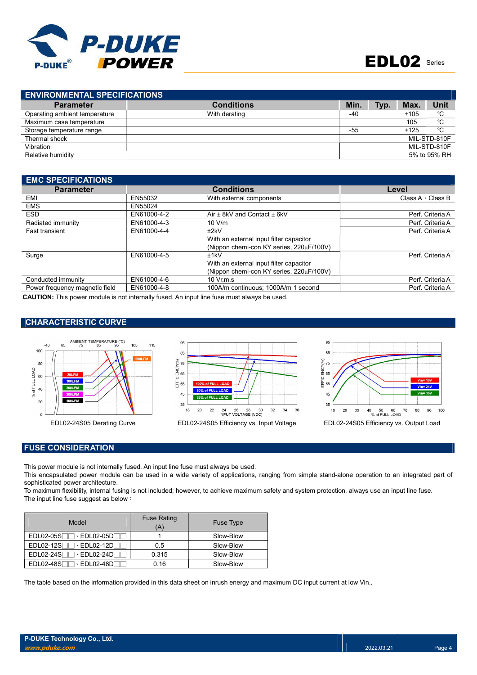

| Unit         |
|--------------|
| °C           |
| °C           |
| °C           |
| MIL-STD-810F |
| MIL-STD-810F |
| 5% to 95% RH |
|              |

| <b>EMC SPECIFICATIONS</b>                                                                                                                                                                                                          |             |                                          |                         |
|------------------------------------------------------------------------------------------------------------------------------------------------------------------------------------------------------------------------------------|-------------|------------------------------------------|-------------------------|
| <b>Parameter</b>                                                                                                                                                                                                                   |             | <b>Conditions</b>                        | Level                   |
| EMI                                                                                                                                                                                                                                | EN55032     | With external components                 | Class A $\cdot$ Class B |
| <b>EMS</b>                                                                                                                                                                                                                         | EN55024     |                                          |                         |
| <b>ESD</b>                                                                                                                                                                                                                         | EN61000-4-2 | Air ± 8kV and Contact ± 6kV              | Perf. Criteria A        |
| Radiated immunity                                                                                                                                                                                                                  | EN61000-4-3 | 10 V/m                                   | Perf. Criteria A        |
| <b>Fast transient</b>                                                                                                                                                                                                              | EN61000-4-4 | ±2kV                                     | Perf. Criteria A        |
|                                                                                                                                                                                                                                    |             | With an external input filter capacitor  |                         |
|                                                                                                                                                                                                                                    |             | (Nippon chemi-con KY series, 220µF/100V) |                         |
| Surge                                                                                                                                                                                                                              | EN61000-4-5 | ±1kV                                     | Perf. Criteria A        |
|                                                                                                                                                                                                                                    |             | With an external input filter capacitor  |                         |
|                                                                                                                                                                                                                                    |             | (Nippon chemi-con KY series, 220uF/100V) |                         |
| Conducted immunity                                                                                                                                                                                                                 | EN61000-4-6 | $10 \text{ Vr}$ m.s.                     | Perf. Criteria A        |
| Power frequency magnetic field                                                                                                                                                                                                     | EN61000-4-8 | 100A/m continuous; 1000A/m 1 second      | Perf. Criteria A        |
| $\bullet$ allowed the second contract the second contract of the contract of the contract of the contract of the contract of the contract of the contract of the contract of the contract of the contract of the contract of the c |             |                                          |                         |

CAUTION: This power module is not internally fused. An input line fuse must always be used.

#### CHARACTERISTIC CURVE







#### FUSE CONSIDERATION

This power module is not internally fused. An input line fuse must always be used.

This encapsulated power module can be used in a wide variety of applications, ranging from simple stand-alone operation to an integrated part of sophisticated power architecture.

To maximum flexibility, internal fusing is not included; however, to achieve maximum safety and system protection, always use an input line fuse. The input line fuse suggest as below:

| Model                                                   | <b>Fuse Rating</b><br>'A' | <b>Fuse Type</b> |
|---------------------------------------------------------|---------------------------|------------------|
| $EDL02-05S$<br>$\lceil \cdot \textsf{EDLO2-05D} \rceil$ |                           | Slow-Blow        |
| $EDL02-12S$<br>∃ · EDL02-12DΓ                           | 0.5                       | Slow-Blow        |
| EDL02-24S<br>$\cdot$ EDL02-24DF                         | 0.315                     | Slow-Blow        |
| <b>EDL02-48S</b><br>$\cdot$ EDL02-48DF                  | 0.16                      | Slow-Blow        |

The table based on the information provided in this data sheet on inrush energy and maximum DC input current at low Vin..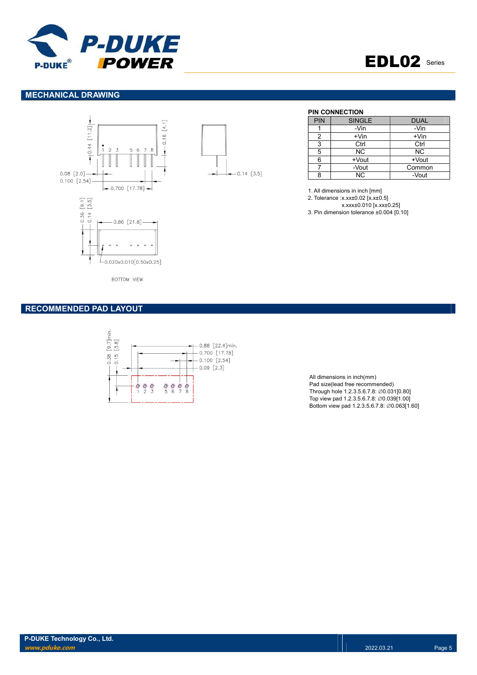



### MECHANICAL DRAWING





#### PIN CONNECTION

| PIN | <b>SINGLE</b> | <b>DUAL</b> |
|-----|---------------|-------------|
|     | -Vin          | -Vin        |
| 2   | $+V$ in       | $+V$ in     |
| 3   | Ctrl          | Ctrl        |
| 5   | <b>NC</b>     | NС          |
| 6   | +Vout         | +Vout       |
|     | -Vout         | Common      |
| Ω   | <b>NC</b>     | -Vout       |

1. All dimensions in inch [mm]

2. Tolerance :x.xx±0.02 [x.x±0.5]

x.xxx±0.010 [x.xx±0.25]

3. Pin dimension tolerance ±0.004 [0.10]

**BOTTOM VIEW** 

#### RECOMMENDED PAD LAYOUT



All dimensions in inch(mm) Pad size(lead free recommended) Through hole 1.2.3.5.6.7.8: ∅0.031[0.80] Top view pad 1.2.3.5.6.7.8: ∅0.039[1.00] Bottom view pad 1.2.3.5.6.7.8: ∅0.063[1.60]